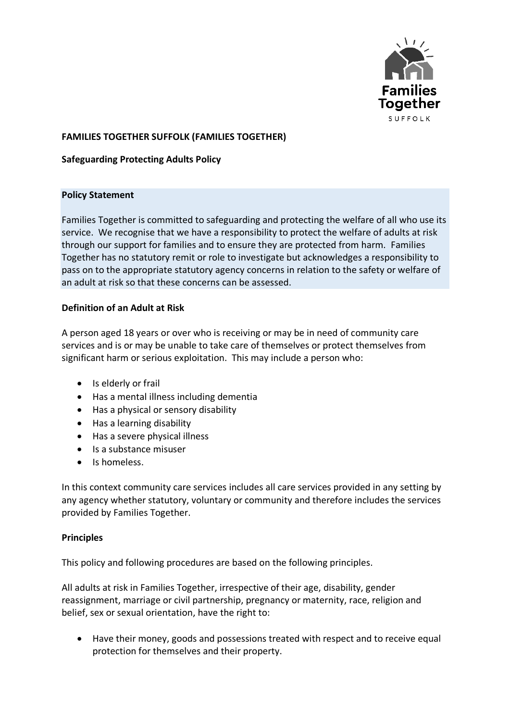

# **FAMILIES TOGETHER SUFFOLK (FAMILIES TOGETHER)**

**Safeguarding Protecting Adults Policy**

#### **Policy Statement**

Families Together is committed to safeguarding and protecting the welfare of all who use its service. We recognise that we have a responsibility to protect the welfare of adults at risk through our support for families and to ensure they are protected from harm. Families Together has no statutory remit or role to investigate but acknowledges a responsibility to pass on to the appropriate statutory agency concerns in relation to the safety or welfare of an adult at risk so that these concerns can be assessed.

## **Definition of an Adult at Risk**

A person aged 18 years or over who is receiving or may be in need of community care services and is or may be unable to take care of themselves or protect themselves from significant harm or serious exploitation. This may include a person who:

- Is elderly or frail
- Has a mental illness including dementia
- Has a physical or sensory disability
- Has a learning disability
- Has a severe physical illness
- Is a substance misuser
- Is homeless.

In this context community care services includes all care services provided in any setting by any agency whether statutory, voluntary or community and therefore includes the services provided by Families Together.

#### **Principles**

This policy and following procedures are based on the following principles.

All adults at risk in Families Together, irrespective of their age, disability, gender reassignment, marriage or civil partnership, pregnancy or maternity, race, religion and belief, sex or sexual orientation, have the right to:

• Have their money, goods and possessions treated with respect and to receive equal protection for themselves and their property.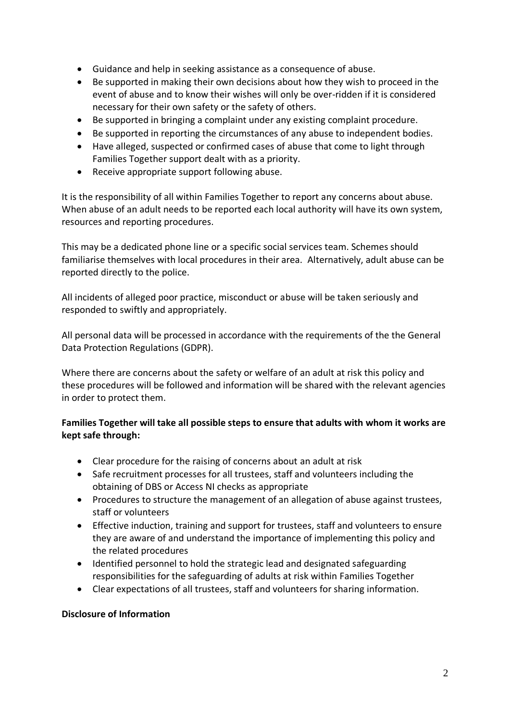- Guidance and help in seeking assistance as a consequence of abuse.
- Be supported in making their own decisions about how they wish to proceed in the event of abuse and to know their wishes will only be over-ridden if it is considered necessary for their own safety or the safety of others.
- Be supported in bringing a complaint under any existing complaint procedure.
- Be supported in reporting the circumstances of any abuse to independent bodies.
- Have alleged, suspected or confirmed cases of abuse that come to light through Families Together support dealt with as a priority.
- Receive appropriate support following abuse.

It is the responsibility of all within Families Together to report any concerns about abuse. When abuse of an adult needs to be reported each local authority will have its own system, resources and reporting procedures.

This may be a dedicated phone line or a specific social services team. Schemes should familiarise themselves with local procedures in their area. Alternatively, adult abuse can be reported directly to the police.

All incidents of alleged poor practice, misconduct or abuse will be taken seriously and responded to swiftly and appropriately.

All personal data will be processed in accordance with the requirements of the the General Data Protection Regulations (GDPR).

Where there are concerns about the safety or welfare of an adult at risk this policy and these procedures will be followed and information will be shared with the relevant agencies in order to protect them.

# **Families Together will take all possible steps to ensure that adults with whom it works are kept safe through:**

- Clear procedure for the raising of concerns about an adult at risk
- Safe recruitment processes for all trustees, staff and volunteers including the obtaining of DBS or Access NI checks as appropriate
- Procedures to structure the management of an allegation of abuse against trustees, staff or volunteers
- Effective induction, training and support for trustees, staff and volunteers to ensure they are aware of and understand the importance of implementing this policy and the related procedures
- Identified personnel to hold the strategic lead and designated safeguarding responsibilities for the safeguarding of adults at risk within Families Together
- Clear expectations of all trustees, staff and volunteers for sharing information.

# **Disclosure of Information**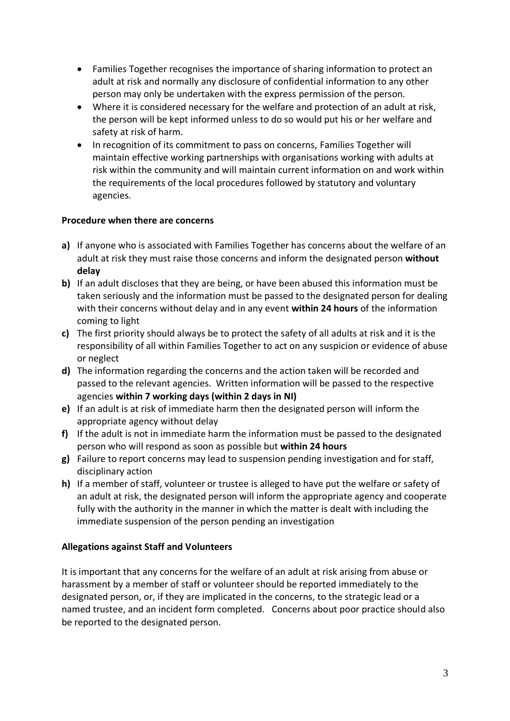- Families Together recognises the importance of sharing information to protect an adult at risk and normally any disclosure of confidential information to any other person may only be undertaken with the express permission of the person.
- Where it is considered necessary for the welfare and protection of an adult at risk, the person will be kept informed unless to do so would put his or her welfare and safety at risk of harm.
- In recognition of its commitment to pass on concerns, Families Together will maintain effective working partnerships with organisations working with adults at risk within the community and will maintain current information on and work within the requirements of the local procedures followed by statutory and voluntary agencies.

# **Procedure when there are concerns**

- **a)** If anyone who is associated with Families Together has concerns about the welfare of an adult at risk they must raise those concerns and inform the designated person **without delay**
- **b)** If an adult discloses that they are being, or have been abused this information must be taken seriously and the information must be passed to the designated person for dealing with their concerns without delay and in any event **within 24 hours** of the information coming to light
- **c)** The first priority should always be to protect the safety of all adults at risk and it is the responsibility of all within Families Together to act on any suspicion or evidence of abuse or neglect
- **d)** The information regarding the concerns and the action taken will be recorded and passed to the relevant agencies. Written information will be passed to the respective agencies **within 7 working days (within 2 days in NI)**
- **e)** If an adult is at risk of immediate harm then the designated person will inform the appropriate agency without delay
- **f)** If the adult is not in immediate harm the information must be passed to the designated person who will respond as soon as possible but **within 24 hours**
- **g)** Failure to report concerns may lead to suspension pending investigation and for staff, disciplinary action
- **h)** If a member of staff, volunteer or trustee is alleged to have put the welfare or safety of an adult at risk, the designated person will inform the appropriate agency and cooperate fully with the authority in the manner in which the matter is dealt with including the immediate suspension of the person pending an investigation

#### **Allegations against Staff and Volunteers**

It is important that any concerns for the welfare of an adult at risk arising from abuse or harassment by a member of staff or volunteer should be reported immediately to the designated person, or, if they are implicated in the concerns, to the strategic lead or a named trustee, and an incident form completed. Concerns about poor practice should also be reported to the designated person.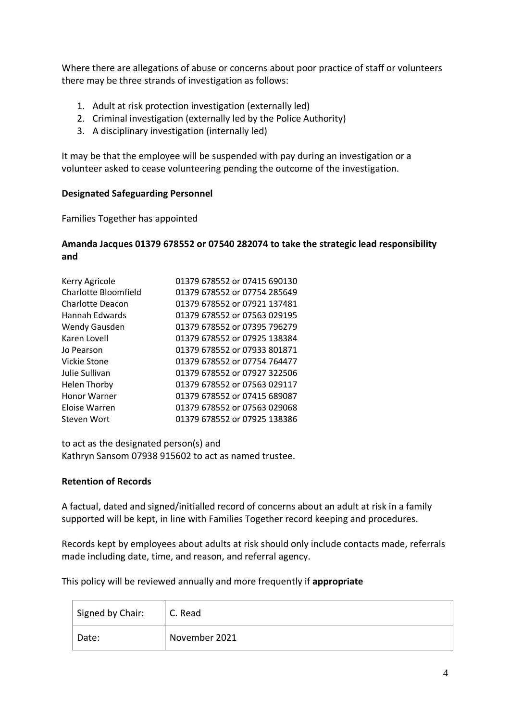Where there are allegations of abuse or concerns about poor practice of staff or volunteers there may be three strands of investigation as follows:

- 1. Adult at risk protection investigation (externally led)
- 2. Criminal investigation (externally led by the Police Authority)
- 3. A disciplinary investigation (internally led)

It may be that the employee will be suspended with pay during an investigation or a volunteer asked to cease volunteering pending the outcome of the investigation.

## **Designated Safeguarding Personnel**

Families Together has appointed

# **Amanda Jacques 01379 678552 or 07540 282074 to take the strategic lead responsibility and**

| Kerry Agricole          | 01379 678552 or 07415 690130 |
|-------------------------|------------------------------|
| Charlotte Bloomfield    | 01379 678552 or 07754 285649 |
| <b>Charlotte Deacon</b> | 01379 678552 or 07921 137481 |
| Hannah Edwards          | 01379 678552 or 07563 029195 |
| Wendy Gausden           | 01379 678552 or 07395 796279 |
| Karen Lovell            | 01379 678552 or 07925 138384 |
| Jo Pearson              | 01379 678552 or 07933 801871 |
| Vickie Stone            | 01379 678552 or 07754 764477 |
| Julie Sullivan          | 01379 678552 or 07927 322506 |
| <b>Helen Thorby</b>     | 01379 678552 or 07563 029117 |
| <b>Honor Warner</b>     | 01379 678552 or 07415 689087 |
| Eloise Warren           | 01379 678552 or 07563 029068 |
| Steven Wort             | 01379 678552 or 07925 138386 |
|                         |                              |

to act as the designated person(s) and Kathryn Sansom 07938 915602 to act as named trustee.

#### **Retention of Records**

A factual, dated and signed/initialled record of concerns about an adult at risk in a family supported will be kept, in line with Families Together record keeping and procedures.

Records kept by employees about adults at risk should only include contacts made, referrals made including date, time, and reason, and referral agency.

This policy will be reviewed annually and more frequently if **appropriate**

| Signed by Chair: | C. Read       |
|------------------|---------------|
| Date:            | November 2021 |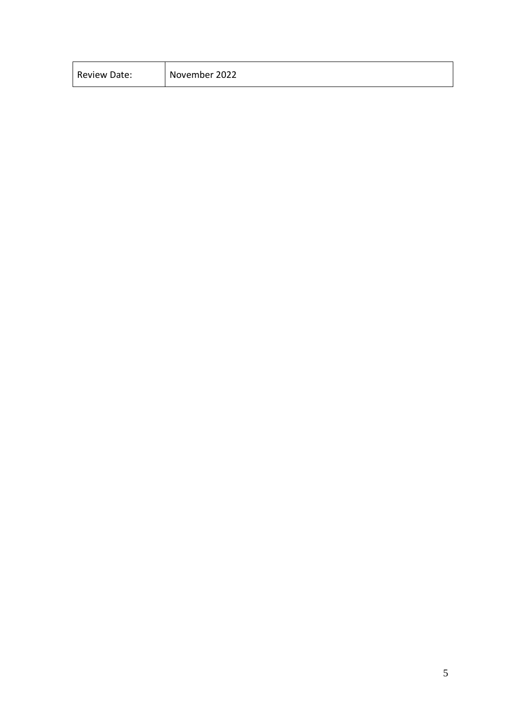| <b>Review Date:</b> | November 2022 |
|---------------------|---------------|
|---------------------|---------------|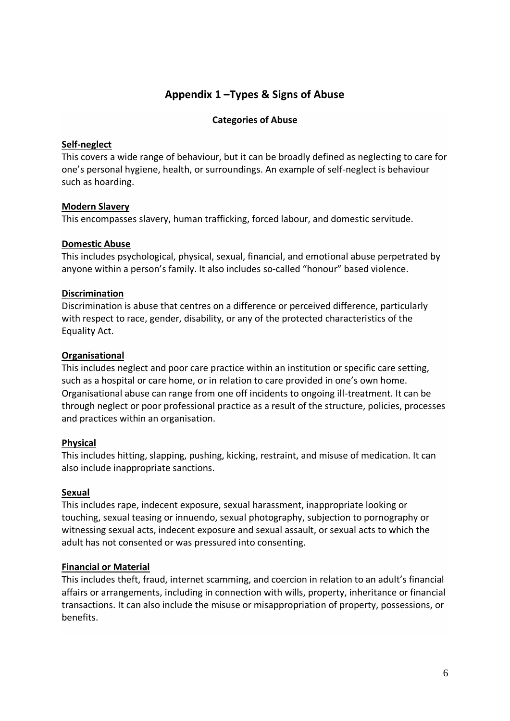# **Appendix 1 –Types & Signs of Abuse**

## **Categories of Abuse**

## **[Self-neglect](https://www.anncrafttrust.org/what-is-self-neglect/)**

This covers a wide range of behaviour, but it can be broadly defined as neglecting to care for one's personal hygiene, health, or surroundings. An example of self-neglect is behaviour such as hoarding.

## **[Modern Slavery](https://www.anncrafttrust.org/what-is-modern-slavery/)**

This encompasses slavery, human trafficking, forced labour, and domestic servitude.

## **[Domestic Abuse](https://www.anncrafttrust.org/disability-domestic-abuse/)**

This includes psychological, physical, sexual, financial, and emotional abuse perpetrated by anyone within a person's family. It also includes so-called "honour" based violence.

## **Discrimination**

Discrimination is abuse that centres on a difference or perceived difference, particularly with respect to race, gender, disability, or any of the protected characteristics of the Equality Act.

## **[Organisational](https://www.anncrafttrust.org/institutional-abuse-definitions-signs-symptoms/)**

This includes neglect and poor care practice within an institution or specific care setting, such as a hospital or care home, or in relation to care provided in one's own home. Organisational abuse can range from one off incidents to ongoing ill-treatment. It can be through neglect or poor professional practice as a result of the structure, policies, processes and practices within an organisation.

#### **[Physical](https://www.anncrafttrust.org/what-is-physical-abuse/)**

This includes hitting, slapping, pushing, kicking, restraint, and misuse of medication. It can also include inappropriate sanctions.

#### **[Sexual](https://www.anncrafttrust.org/what-is-sexual-abuse/)**

This includes rape, indecent exposure, sexual harassment, inappropriate looking or touching, sexual teasing or innuendo, sexual photography, subjection to pornography or witnessing sexual acts, indecent exposure and sexual assault, or sexual acts to which the adult has not consented or was pressured into consenting.

# **[Financial or Material](https://www.anncrafttrust.org/what-is-financial-abuse/)**

This includes theft, fraud, internet scamming, and coercion in relation to an adult's financial affairs or arrangements, including in connection with wills, property, inheritance or financial transactions. It can also include the misuse or misappropriation of property, possessions, or benefits.